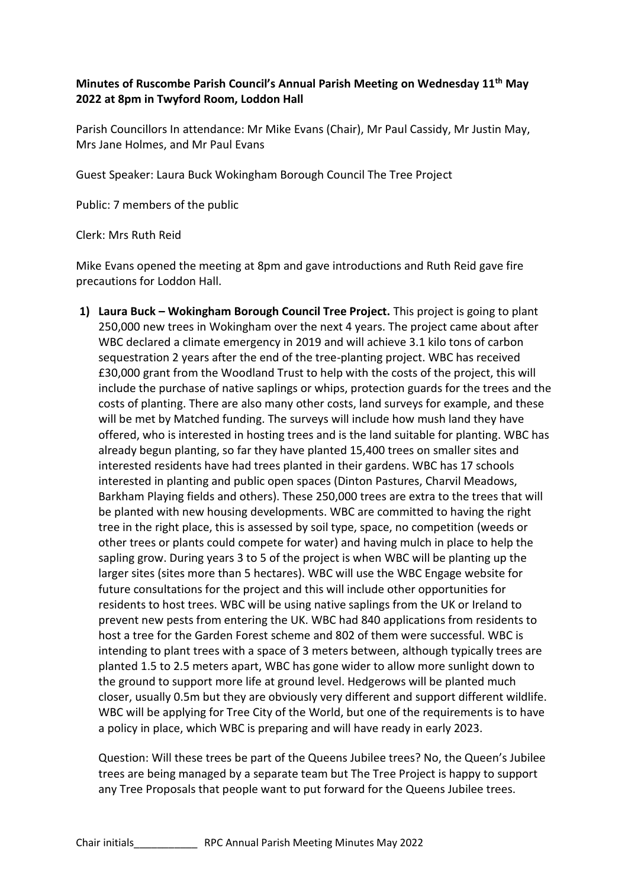## **Minutes of Ruscombe Parish Council's Annual Parish Meeting on Wednesday 11th May 2022 at 8pm in Twyford Room, Loddon Hall**

Parish Councillors In attendance: Mr Mike Evans (Chair), Mr Paul Cassidy, Mr Justin May, Mrs Jane Holmes, and Mr Paul Evans

Guest Speaker: Laura Buck Wokingham Borough Council The Tree Project

Public: 7 members of the public

Clerk: Mrs Ruth Reid

Mike Evans opened the meeting at 8pm and gave introductions and Ruth Reid gave fire precautions for Loddon Hall.

**1) Laura Buck – Wokingham Borough Council Tree Project.** This project is going to plant 250,000 new trees in Wokingham over the next 4 years. The project came about after WBC declared a climate emergency in 2019 and will achieve 3.1 kilo tons of carbon sequestration 2 years after the end of the tree-planting project. WBC has received £30,000 grant from the Woodland Trust to help with the costs of the project, this will include the purchase of native saplings or whips, protection guards for the trees and the costs of planting. There are also many other costs, land surveys for example, and these will be met by Matched funding. The surveys will include how mush land they have offered, who is interested in hosting trees and is the land suitable for planting. WBC has already begun planting, so far they have planted 15,400 trees on smaller sites and interested residents have had trees planted in their gardens. WBC has 17 schools interested in planting and public open spaces (Dinton Pastures, Charvil Meadows, Barkham Playing fields and others). These 250,000 trees are extra to the trees that will be planted with new housing developments. WBC are committed to having the right tree in the right place, this is assessed by soil type, space, no competition (weeds or other trees or plants could compete for water) and having mulch in place to help the sapling grow. During years 3 to 5 of the project is when WBC will be planting up the larger sites (sites more than 5 hectares). WBC will use the WBC Engage website for future consultations for the project and this will include other opportunities for residents to host trees. WBC will be using native saplings from the UK or Ireland to prevent new pests from entering the UK. WBC had 840 applications from residents to host a tree for the Garden Forest scheme and 802 of them were successful. WBC is intending to plant trees with a space of 3 meters between, although typically trees are planted 1.5 to 2.5 meters apart, WBC has gone wider to allow more sunlight down to the ground to support more life at ground level. Hedgerows will be planted much closer, usually 0.5m but they are obviously very different and support different wildlife. WBC will be applying for Tree City of the World, but one of the requirements is to have a policy in place, which WBC is preparing and will have ready in early 2023.

Question: Will these trees be part of the Queens Jubilee trees? No, the Queen's Jubilee trees are being managed by a separate team but The Tree Project is happy to support any Tree Proposals that people want to put forward for the Queens Jubilee trees.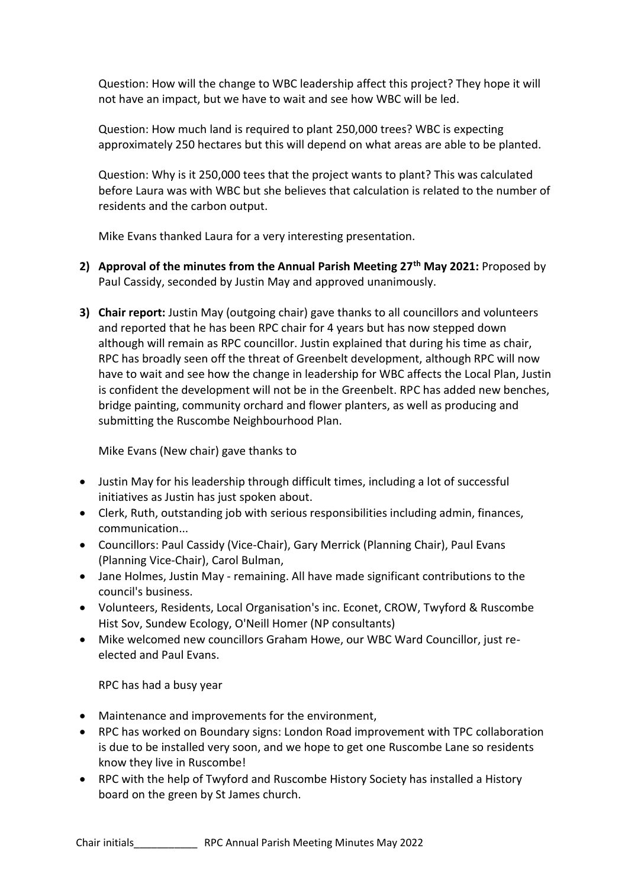Question: How will the change to WBC leadership affect this project? They hope it will not have an impact, but we have to wait and see how WBC will be led.

Question: How much land is required to plant 250,000 trees? WBC is expecting approximately 250 hectares but this will depend on what areas are able to be planted.

Question: Why is it 250,000 tees that the project wants to plant? This was calculated before Laura was with WBC but she believes that calculation is related to the number of residents and the carbon output.

Mike Evans thanked Laura for a very interesting presentation.

- **2) Approval of the minutes from the Annual Parish Meeting 27th May 2021:** Proposed by Paul Cassidy, seconded by Justin May and approved unanimously.
- **3) Chair report:** Justin May (outgoing chair) gave thanks to all councillors and volunteers and reported that he has been RPC chair for 4 years but has now stepped down although will remain as RPC councillor. Justin explained that during his time as chair, RPC has broadly seen off the threat of Greenbelt development, although RPC will now have to wait and see how the change in leadership for WBC affects the Local Plan, Justin is confident the development will not be in the Greenbelt. RPC has added new benches, bridge painting, community orchard and flower planters, as well as producing and submitting the Ruscombe Neighbourhood Plan.

Mike Evans (New chair) gave thanks to

- Justin May for his leadership through difficult times, including a lot of successful initiatives as Justin has just spoken about.
- Clerk, Ruth, outstanding job with serious responsibilities including admin, finances, communication...
- Councillors: Paul Cassidy (Vice-Chair), Gary Merrick (Planning Chair), Paul Evans (Planning Vice-Chair), Carol Bulman,
- Jane Holmes, Justin May remaining. All have made significant contributions to the council's business.
- Volunteers, Residents, Local Organisation's inc. Econet, CROW, Twyford & Ruscombe Hist Sov, Sundew Ecology, O'Neill Homer (NP consultants)
- Mike welcomed new councillors Graham Howe, our WBC Ward Councillor, just reelected and Paul Evans.

RPC has had a busy year

- Maintenance and improvements for the environment,
- RPC has worked on Boundary signs: London Road improvement with TPC collaboration is due to be installed very soon, and we hope to get one Ruscombe Lane so residents know they live in Ruscombe!
- RPC with the help of Twyford and Ruscombe History Society has installed a History board on the green by St James church.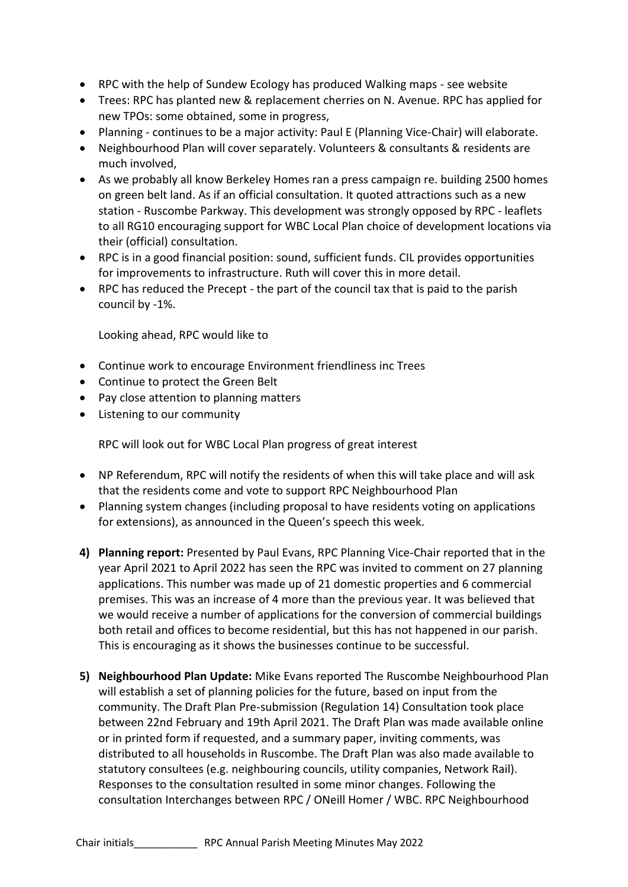- RPC with the help of Sundew Ecology has produced Walking maps see website
- Trees: RPC has planted new & replacement cherries on N. Avenue. RPC has applied for new TPOs: some obtained, some in progress,
- Planning continues to be a major activity: Paul E (Planning Vice-Chair) will elaborate.
- Neighbourhood Plan will cover separately. Volunteers & consultants & residents are much involved,
- As we probably all know Berkeley Homes ran a press campaign re. building 2500 homes on green belt land. As if an official consultation. It quoted attractions such as a new station - Ruscombe Parkway. This development was strongly opposed by RPC - leaflets to all RG10 encouraging support for WBC Local Plan choice of development locations via their (official) consultation.
- RPC is in a good financial position: sound, sufficient funds. CIL provides opportunities for improvements to infrastructure. Ruth will cover this in more detail.
- RPC has reduced the Precept the part of the council tax that is paid to the parish council by -1%.

Looking ahead, RPC would like to

- Continue work to encourage Environment friendliness inc Trees
- Continue to protect the Green Belt
- Pay close attention to planning matters
- Listening to our community

RPC will look out for WBC Local Plan progress of great interest

- NP Referendum, RPC will notify the residents of when this will take place and will ask that the residents come and vote to support RPC Neighbourhood Plan
- Planning system changes (including proposal to have residents voting on applications for extensions), as announced in the Queen's speech this week.
- **4) Planning report:** Presented by Paul Evans, RPC Planning Vice-Chair reported that in the year April 2021 to April 2022 has seen the RPC was invited to comment on 27 planning applications. This number was made up of 21 domestic properties and 6 commercial premises. This was an increase of 4 more than the previous year. It was believed that we would receive a number of applications for the conversion of commercial buildings both retail and offices to become residential, but this has not happened in our parish. This is encouraging as it shows the businesses continue to be successful.
- **5) Neighbourhood Plan Update:** Mike Evans reported The Ruscombe Neighbourhood Plan will establish a set of planning policies for the future, based on input from the community. The Draft Plan Pre-submission (Regulation 14) Consultation took place between 22nd February and 19th April 2021. The Draft Plan was made available online or in printed form if requested, and a summary paper, inviting comments, was distributed to all households in Ruscombe. The Draft Plan was also made available to statutory consultees (e.g. neighbouring councils, utility companies, Network Rail). Responses to the consultation resulted in some minor changes. Following the consultation Interchanges between RPC / ONeill Homer / WBC. RPC Neighbourhood